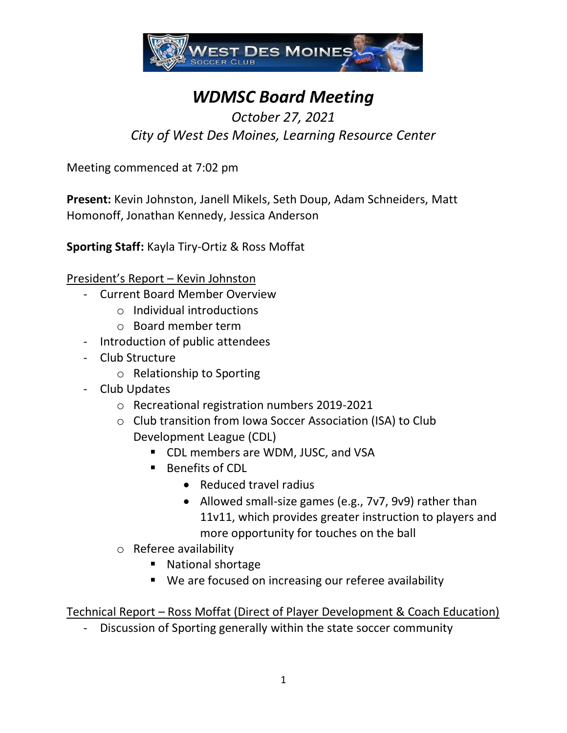

# *WDMSC Board Meeting*

## *October 27, 2021 City of West Des Moines, Learning Resource Center*

Meeting commenced at 7:02 pm

**Present:** Kevin Johnston, Janell Mikels, Seth Doup, Adam Schneiders, Matt Homonoff, Jonathan Kennedy, Jessica Anderson

**Sporting Staff:** Kayla Tiry-Ortiz & Ross Moffat

President's Report – Kevin Johnston

- Current Board Member Overview
	- o Individual introductions
	- o Board member term
- Introduction of public attendees
- Club Structure
	- o Relationship to Sporting
- Club Updates
	- o Recreational registration numbers 2019-2021
	- o Club transition from Iowa Soccer Association (ISA) to Club Development League (CDL)
		- CDL members are WDM, JUSC, and VSA
		- Benefits of CDL
			- Reduced travel radius
			- Allowed small-size games (e.g., 7v7, 9v9) rather than 11v11, which provides greater instruction to players and more opportunity for touches on the ball
	- o Referee availability
		- National shortage
		- We are focused on increasing our referee availability

Technical Report – Ross Moffat (Direct of Player Development & Coach Education)

- Discussion of Sporting generally within the state soccer community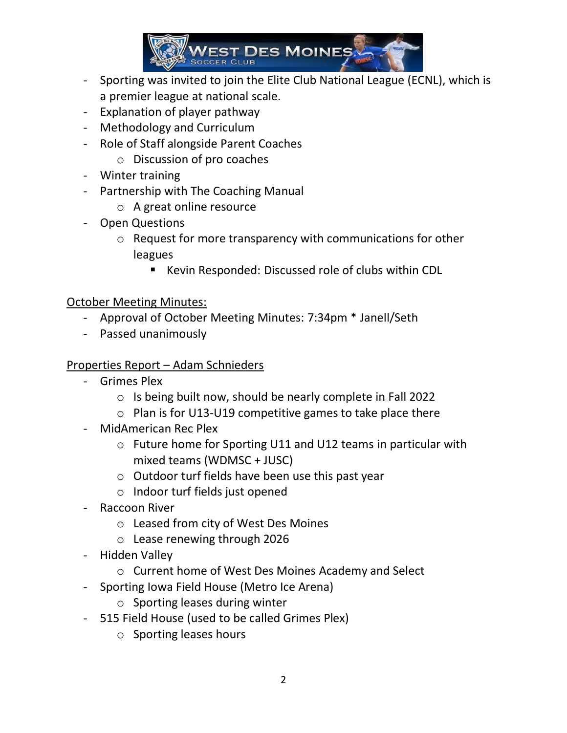

- Sporting was invited to join the Elite Club National League (ECNL), which is a premier league at national scale.
- Explanation of player pathway
- Methodology and Curriculum
- Role of Staff alongside Parent Coaches
	- o Discussion of pro coaches
- Winter training
- Partnership with The Coaching Manual
	- o A great online resource
- Open Questions
	- o Request for more transparency with communications for other leagues
		- Kevin Responded: Discussed role of clubs within CDL

#### October Meeting Minutes:

- Approval of October Meeting Minutes: 7:34pm \* Janell/Seth
- Passed unanimously

#### Properties Report – Adam Schnieders

- Grimes Plex
	- o Is being built now, should be nearly complete in Fall 2022
	- o Plan is for U13-U19 competitive games to take place there
- MidAmerican Rec Plex
	- o Future home for Sporting U11 and U12 teams in particular with mixed teams (WDMSC + JUSC)
	- o Outdoor turf fields have been use this past year
	- o Indoor turf fields just opened
- Raccoon River
	- o Leased from city of West Des Moines
	- o Lease renewing through 2026
- Hidden Valley
	- o Current home of West Des Moines Academy and Select
- Sporting Iowa Field House (Metro Ice Arena)
	- o Sporting leases during winter
- 515 Field House (used to be called Grimes Plex)
	- o Sporting leases hours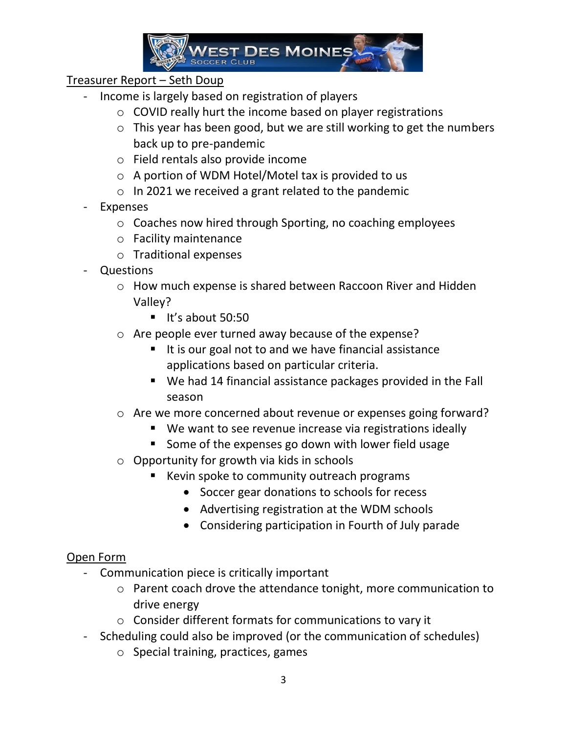

### Treasurer Report – Seth Doup

- Income is largely based on registration of players
	- o COVID really hurt the income based on player registrations
	- o This year has been good, but we are still working to get the numbers back up to pre-pandemic
	- o Field rentals also provide income
	- o A portion of WDM Hotel/Motel tax is provided to us
	- o In 2021 we received a grant related to the pandemic
- Expenses
	- o Coaches now hired through Sporting, no coaching employees
	- o Facility maintenance
	- o Traditional expenses
- Questions
	- o How much expense is shared between Raccoon River and Hidden Valley?
		- $\blacksquare$  It's about 50:50
	- o Are people ever turned away because of the expense?
		- It is our goal not to and we have financial assistance applications based on particular criteria.
		- We had 14 financial assistance packages provided in the Fall season
	- o Are we more concerned about revenue or expenses going forward?
		- We want to see revenue increase via registrations ideally
		- Some of the expenses go down with lower field usage
	- o Opportunity for growth via kids in schools
		- Kevin spoke to community outreach programs
			- Soccer gear donations to schools for recess
			- Advertising registration at the WDM schools
			- Considering participation in Fourth of July parade

#### Open Form

- Communication piece is critically important
	- o Parent coach drove the attendance tonight, more communication to drive energy
	- o Consider different formats for communications to vary it
- Scheduling could also be improved (or the communication of schedules)
	- o Special training, practices, games